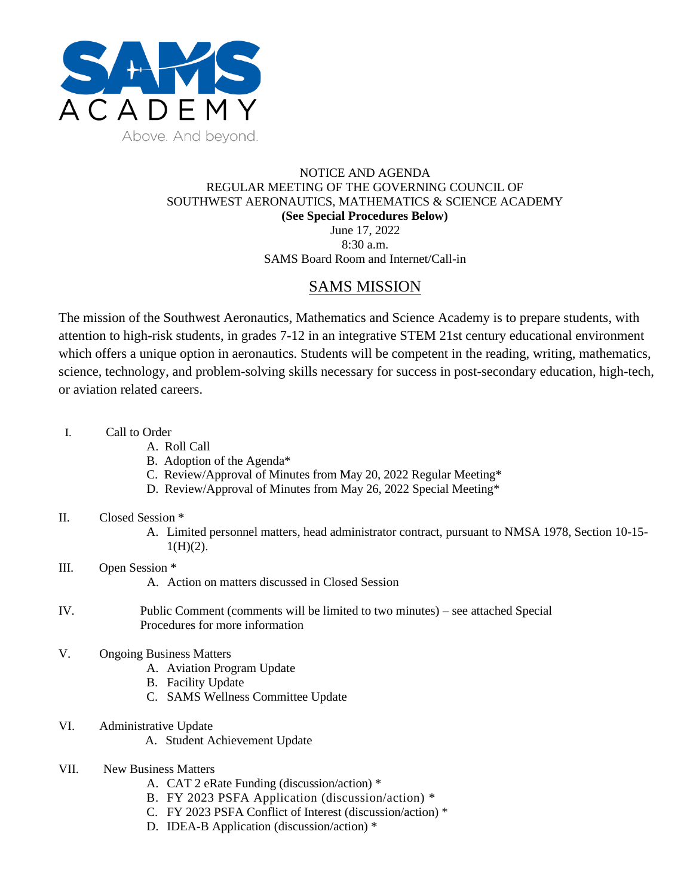

## NOTICE AND AGENDA REGULAR MEETING OF THE GOVERNING COUNCIL OF SOUTHWEST AERONAUTICS, MATHEMATICS & SCIENCE ACADEMY **(See Special Procedures Below)** June 17, 2022 8:30 a.m.

SAMS Board Room and Internet/Call-in

# SAMS MISSION

The mission of the Southwest Aeronautics, Mathematics and Science Academy is to prepare students, with attention to high-risk students, in grades 7-12 in an integrative STEM 21st century educational environment which offers a unique option in aeronautics. Students will be competent in the reading, writing, mathematics, science, technology, and problem-solving skills necessary for success in post-secondary education, high-tech, or aviation related careers.

- I. Call to Order
	- A. Roll Call
	- B. Adoption of the Agenda\*
	- C. Review/Approval of Minutes from May 20, 2022 Regular Meeting\*
	- D. Review/Approval of Minutes from May 26, 2022 Special Meeting\*

# II. Closed Session \*

- A. Limited personnel matters, head administrator contract, pursuant to NMSA 1978, Section 10-15-  $1(H)(2)$ .
- III. Open Session \* A. Action on matters discussed in Closed Session
- IV. Public Comment (comments will be limited to two minutes) see attached Special Procedures for more information
- V. Ongoing Business Matters
	- A. Aviation Program Update
	- B. Facility Update
	- C. SAMS Wellness Committee Update
- VI. Administrative Update
	- A. Student Achievement Update
- VII. New Business Matters
	- A. CAT 2 eRate Funding (discussion/action) \*
	- B. FY 2023 PSFA Application (discussion/action) \*
	- C. FY 2023 PSFA Conflict of Interest (discussion/action) \*
	- D. IDEA-B Application (discussion/action) \*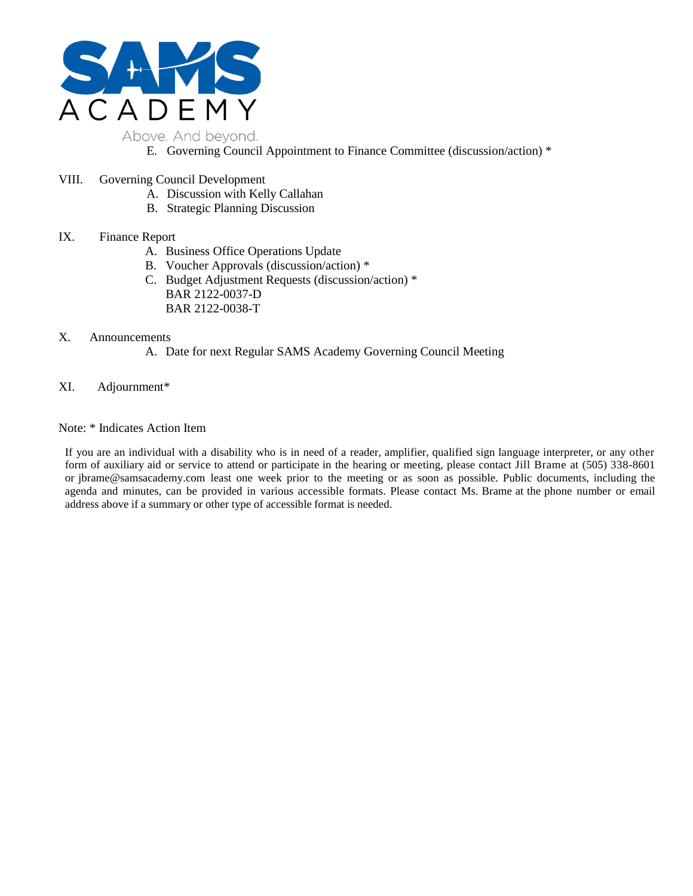

- E. Governing Council Appointment to Finance Committee (discussion/action) \*
- VIII. Governing Council Development
	- A. Discussion with Kelly Callahan
	- B. Strategic Planning Discussion

# IX. Finance Report

- A. Business Office Operations Update
- B. Voucher Approvals (discussion/action) \*
- C. Budget Adjustment Requests (discussion/action) \* BAR 2122-0037-D BAR 2122-0038-T

#### X. Announcements

- A. Date for next Regular SAMS Academy Governing Council Meeting
- XI. Adjournment\*

## Note: \* Indicates Action Item

If you are an individual with a disability who is in need of a reader, amplifier, qualified sign language interpreter, or any other form of auxiliary aid or service to attend or participate in the hearing or meeting, please contact Jill Brame at (505) 338-8601 or jbrame@samsacademy.com least one week prior to the meeting or as soon as possible. Public documents, including the agenda and minutes, can be provided in various accessible formats. Please contact Ms. Brame at the phone number or email address above if a summary or other type of accessible format is needed.